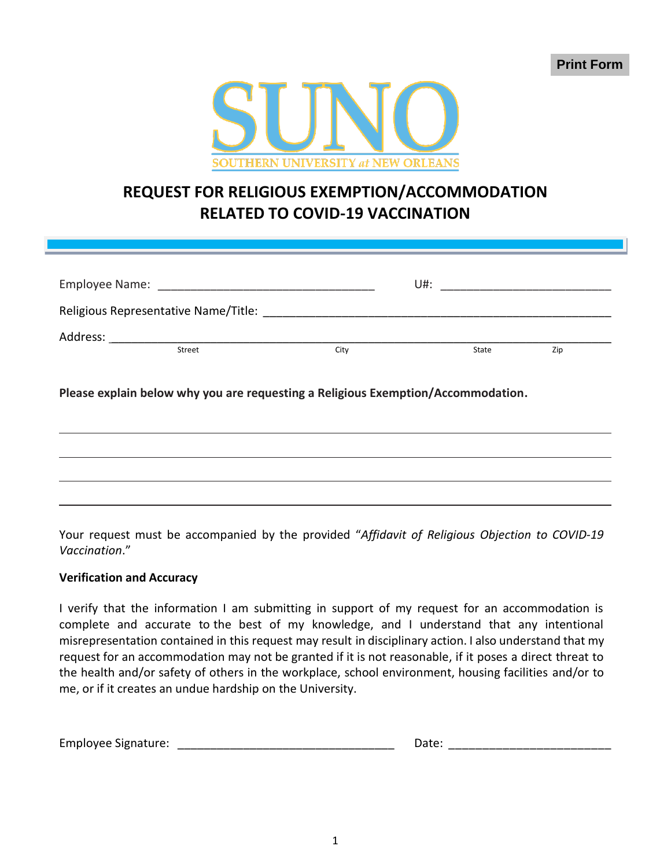

## **REQUEST FOR RELIGIOUS EXEMPTION/ACCOMMODATION RELATED TO COVID-19 VACCINATION**

| Employee Name:<br><u> 1989 - Jan Samuel Barbara, manala</u>                                                    |        |      | U#:   |     |  |
|----------------------------------------------------------------------------------------------------------------|--------|------|-------|-----|--|
| Religious Representative Name/Title: Name and the set of the set of the set of the set of the set of the set o |        |      |       |     |  |
| Address:                                                                                                       |        |      |       |     |  |
|                                                                                                                | Street | City | State | Zip |  |
|                                                                                                                |        |      |       |     |  |

**Please explain below why you are requesting a Religious Exemption/Accommodation.**



Your request must be accompanied by the provided "*Affidavit of Religious Objection to COVID-19 Vaccination*."

## **Verification and Accuracy**

I verify that the information I am submitting in support of my request for an accommodation is complete and accurate to the best of my knowledge, and I understand that any intentional misrepresentation contained in this request may result in disciplinary action. I also understand that my request for an accommodation may not be granted if it is not reasonable, if it poses a direct threat to the health and/or safety of others in the workplace, school environment, housing facilities and/or to me, or if it creates an undue hardship on the University.

| <b>Employee Signature:</b> | Date: |
|----------------------------|-------|
|----------------------------|-------|